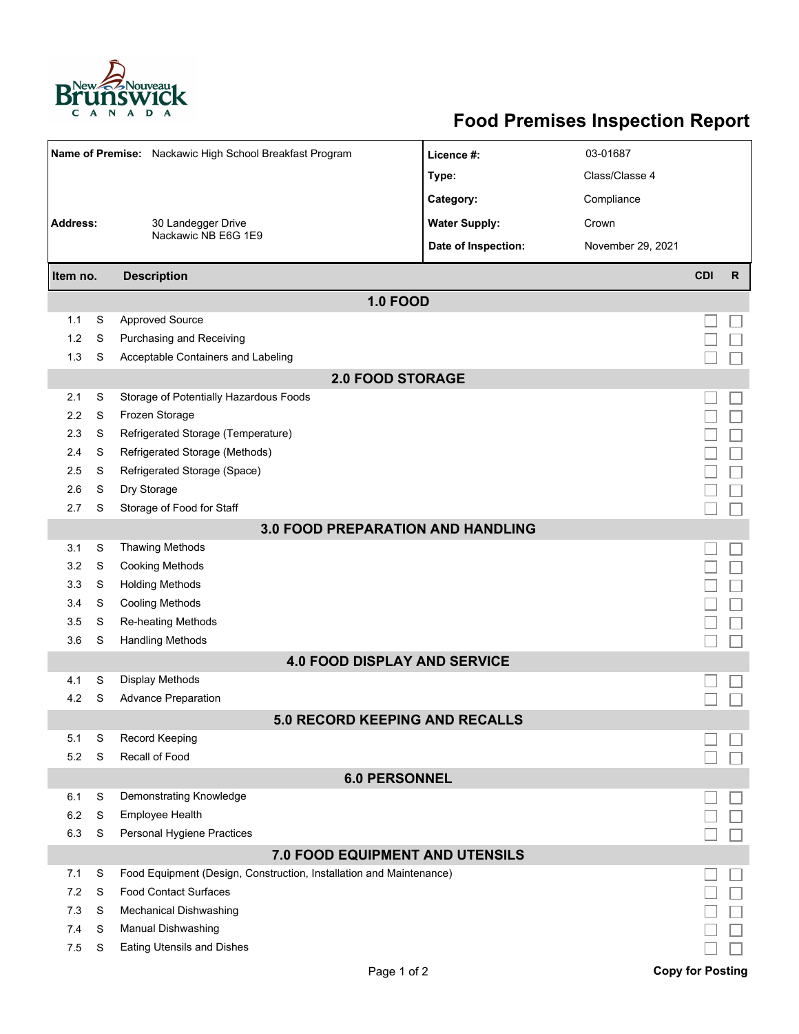

## **Food Premises Inspection Report**

| Name of Premise: Nackawic High School Breakfast Program |        |                                                                                                     | Licence #:           | 03-01687          |                         |   |  |  |  |  |
|---------------------------------------------------------|--------|-----------------------------------------------------------------------------------------------------|----------------------|-------------------|-------------------------|---|--|--|--|--|
|                                                         |        |                                                                                                     | Type:                | Class/Classe 4    |                         |   |  |  |  |  |
|                                                         |        |                                                                                                     | Category:            | Compliance        |                         |   |  |  |  |  |
| <b>Address:</b><br>30 Landegger Drive                   |        |                                                                                                     | <b>Water Supply:</b> | Crown             |                         |   |  |  |  |  |
|                                                         |        | Nackawic NB E6G 1E9                                                                                 | Date of Inspection:  | November 29, 2021 |                         |   |  |  |  |  |
|                                                         |        |                                                                                                     |                      |                   |                         |   |  |  |  |  |
| <b>Description</b><br>Item no.                          |        |                                                                                                     |                      |                   | <b>CDI</b>              | R |  |  |  |  |
|                                                         |        | <b>1.0 FOOD</b>                                                                                     |                      |                   |                         |   |  |  |  |  |
| 1.1                                                     | S      | <b>Approved Source</b>                                                                              |                      |                   |                         |   |  |  |  |  |
| 1.2                                                     | S      | Purchasing and Receiving                                                                            |                      |                   |                         |   |  |  |  |  |
| 1.3                                                     | S      | Acceptable Containers and Labeling                                                                  |                      |                   |                         |   |  |  |  |  |
| <b>2.0 FOOD STORAGE</b>                                 |        |                                                                                                     |                      |                   |                         |   |  |  |  |  |
| 2.1                                                     | S      | Storage of Potentially Hazardous Foods                                                              |                      |                   |                         |   |  |  |  |  |
| 2.2                                                     | S      | Frozen Storage                                                                                      |                      |                   |                         |   |  |  |  |  |
| 2.3                                                     | S      | Refrigerated Storage (Temperature)                                                                  |                      |                   |                         |   |  |  |  |  |
| 2.4                                                     | S      | Refrigerated Storage (Methods)                                                                      |                      |                   |                         |   |  |  |  |  |
| 2.5                                                     | S      | Refrigerated Storage (Space)                                                                        |                      |                   |                         |   |  |  |  |  |
| 2.6                                                     | S      | Dry Storage                                                                                         |                      |                   |                         |   |  |  |  |  |
| 2.7                                                     | S      | Storage of Food for Staff                                                                           |                      |                   |                         |   |  |  |  |  |
| <b>3.0 FOOD PREPARATION AND HANDLING</b>                |        |                                                                                                     |                      |                   |                         |   |  |  |  |  |
| 3.1                                                     | S      | <b>Thawing Methods</b>                                                                              |                      |                   |                         |   |  |  |  |  |
| 3.2                                                     | S      | <b>Cooking Methods</b>                                                                              |                      |                   |                         |   |  |  |  |  |
| 3.3                                                     | S      | <b>Holding Methods</b>                                                                              |                      |                   |                         |   |  |  |  |  |
| 3.4                                                     | S      | <b>Cooling Methods</b>                                                                              |                      |                   |                         |   |  |  |  |  |
| 3.5                                                     | S      | Re-heating Methods                                                                                  |                      |                   |                         |   |  |  |  |  |
| 3.6                                                     | S      | <b>Handling Methods</b>                                                                             |                      |                   |                         |   |  |  |  |  |
|                                                         |        | <b>4.0 FOOD DISPLAY AND SERVICE</b>                                                                 |                      |                   |                         |   |  |  |  |  |
| 4.1                                                     | S      | Display Methods                                                                                     |                      |                   |                         |   |  |  |  |  |
| 4.2                                                     | S      | <b>Advance Preparation</b>                                                                          |                      |                   |                         |   |  |  |  |  |
|                                                         |        | 5.0 RECORD KEEPING AND RECALLS                                                                      |                      |                   |                         |   |  |  |  |  |
| 5.1                                                     | S      | <b>Record Keeping</b>                                                                               |                      |                   |                         |   |  |  |  |  |
| 5.2                                                     | S      | Recall of Food                                                                                      |                      |                   |                         |   |  |  |  |  |
| <b>6.0 PERSONNEL</b>                                    |        |                                                                                                     |                      |                   |                         |   |  |  |  |  |
| 6.1                                                     | S      | Demonstrating Knowledge<br>Employee Health                                                          |                      |                   |                         |   |  |  |  |  |
| 6.2                                                     | S<br>S | Personal Hygiene Practices                                                                          |                      |                   |                         |   |  |  |  |  |
| 6.3                                                     |        |                                                                                                     |                      |                   |                         |   |  |  |  |  |
| 7.0 FOOD EQUIPMENT AND UTENSILS                         |        |                                                                                                     |                      |                   |                         |   |  |  |  |  |
| 7.1<br>7.2                                              | S<br>S | Food Equipment (Design, Construction, Installation and Maintenance)<br><b>Food Contact Surfaces</b> |                      |                   |                         |   |  |  |  |  |
| 7.3                                                     | S      | Mechanical Dishwashing                                                                              |                      |                   |                         |   |  |  |  |  |
| 7.4                                                     | S      | Manual Dishwashing                                                                                  |                      |                   |                         |   |  |  |  |  |
| 7.5                                                     | S      | <b>Eating Utensils and Dishes</b>                                                                   |                      |                   |                         |   |  |  |  |  |
|                                                         |        |                                                                                                     |                      |                   |                         |   |  |  |  |  |
|                                                         |        | Page 1 of 2                                                                                         |                      |                   | <b>Copy for Posting</b> |   |  |  |  |  |